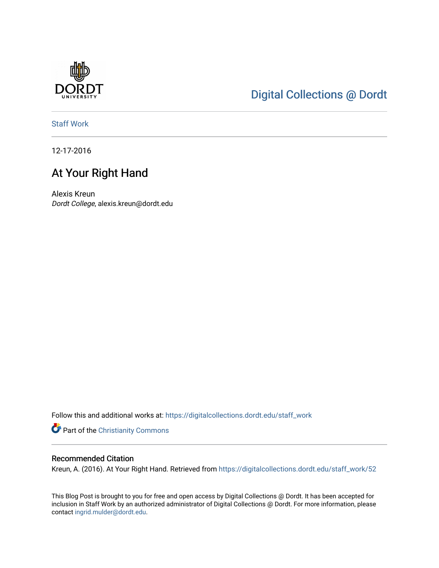

# [Digital Collections @ Dordt](https://digitalcollections.dordt.edu/)

[Staff Work](https://digitalcollections.dordt.edu/staff_work) 

12-17-2016

## At Your Right Hand

Alexis Kreun Dordt College, alexis.kreun@dordt.edu

Follow this and additional works at: [https://digitalcollections.dordt.edu/staff\\_work](https://digitalcollections.dordt.edu/staff_work?utm_source=digitalcollections.dordt.edu%2Fstaff_work%2F52&utm_medium=PDF&utm_campaign=PDFCoverPages)

Part of the [Christianity Commons](http://network.bepress.com/hgg/discipline/1181?utm_source=digitalcollections.dordt.edu%2Fstaff_work%2F52&utm_medium=PDF&utm_campaign=PDFCoverPages) 

## Recommended Citation

Kreun, A. (2016). At Your Right Hand. Retrieved from [https://digitalcollections.dordt.edu/staff\\_work/52](https://digitalcollections.dordt.edu/staff_work/52?utm_source=digitalcollections.dordt.edu%2Fstaff_work%2F52&utm_medium=PDF&utm_campaign=PDFCoverPages) 

This Blog Post is brought to you for free and open access by Digital Collections @ Dordt. It has been accepted for inclusion in Staff Work by an authorized administrator of Digital Collections @ Dordt. For more information, please contact [ingrid.mulder@dordt.edu.](mailto:ingrid.mulder@dordt.edu)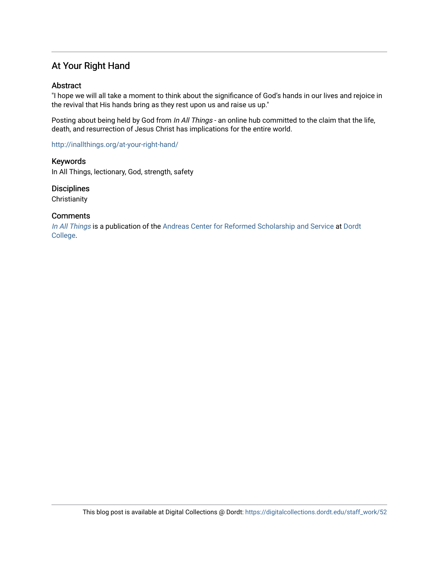## At Your Right Hand

## Abstract

"I hope we will all take a moment to think about the significance of God's hands in our lives and rejoice in the revival that His hands bring as they rest upon us and raise us up."

Posting about being held by God from In All Things - an online hub committed to the claim that the life, death, and resurrection of Jesus Christ has implications for the entire world.

<http://inallthings.org/at-your-right-hand/>

Keywords In All Things, lectionary, God, strength, safety

**Disciplines** 

**Christianity** 

#### **Comments**

[In All Things](http://inallthings.org/) is a publication of the [Andreas Center for Reformed Scholarship and Service](http://www.dordt.edu/services_support/andreas_center/) at Dordt [College](http://www.dordt.edu/).